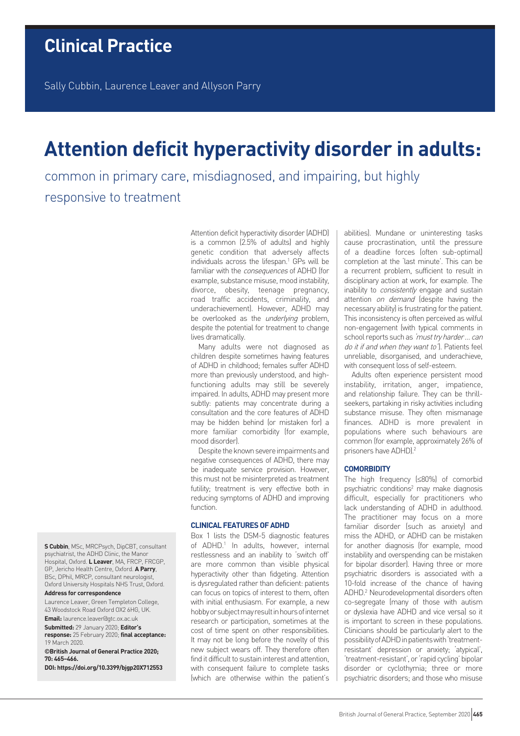Sally Cubbin, Laurence Leaver and Allyson Parry

# **Attention deficit hyperactivity disorder in adults:**

common in primary care, misdiagnosed, and impairing, but highly responsive to treatment

> Attention deficit hyperactivity disorder (ADHD) is a common (2.5% of adults) and highly genetic condition that adversely affects individuals across the lifespan.<sup>1</sup> GPs will be familiar with the consequences of ADHD (for example, substance misuse, mood instability, divorce, obesity, teenage pregnancy, road traffic accidents, criminality, and underachievement). However, ADHD may be overlooked as the *underlying* problem, despite the potential for treatment to change lives dramatically.

> Many adults were not diagnosed as children despite sometimes having features of ADHD in childhood; females suffer ADHD more than previously understood, and highfunctioning adults may still be severely impaired. In adults, ADHD may present more subtly: patients may concentrate during a consultation and the core features of ADHD may be hidden behind (or mistaken for) a more familiar comorbidity (for example, mood disorder).

> Despite the known severe impairments and negative consequences of ADHD, there may be inadequate service provision. However, this must not be misinterpreted as treatment futility; treatment is very effective both in reducing symptoms of ADHD and improving function.

## **CLINICAL FEATURES OF ADHD**

Box 1 lists the DSM-5 diagnostic features of ADHD.<sup>1</sup> In adults, however, internal restlessness and an inability to 'switch off' are more common than visible physical hyperactivity other than fidgeting. Attention is dysregulated rather than deficient: patients can focus on topics of interest to them, often with initial enthusiasm. For example, a new hobby or subject may result in hours of internet research or participation, sometimes at the cost of time spent on other responsibilities. It may not be long before the novelty of this new subject wears off. They therefore often find it difficult to sustain interest and attention, with consequent failure to complete tasks (which are otherwise within the patient's abilities). Mundane or uninteresting tasks cause procrastination, until the pressure of a deadline forces (often sub-optimal) completion at the 'last minute'. This can be a recurrent problem, sufficient to result in disciplinary action at work, for example. The inability to *consistently* engage and sustain attention on demand (despite having the necessary ability) is frustrating for the patient. This inconsistency is often perceived as wilful non-engagement (with typical comments in school reports such as 'must try harder ... can do it if and when they want to'). Patients feel unreliable, disorganised, and underachieve, with consequent loss of self-esteem.

Adults often experience persistent mood instability, irritation, anger, impatience, and relationship failure. They can be thrillseekers, partaking in risky activities including substance misuse. They often mismanage finances. ADHD is more prevalent in populations where such behaviours are common (for example, approximately 26% of prisoners have ADHD).<sup>2</sup>

## **COMORBIDITY**

The high frequency (≤80%) of comorbid psychiatric conditions<sup>2</sup> may make diagnosis difficult, especially for practitioners who lack understanding of ADHD in adulthood. The practitioner may focus on a more familiar disorder (such as anxiety) and miss the ADHD, or ADHD can be mistaken for another diagnosis (for example, mood instability and overspending can be mistaken for bipolar disorder). Having three or more psychiatric disorders is associated with a 10-fold increase of the chance of having ADHD.2 Neurodevelopmental disorders often co-segregate (many of those with autism or dyslexia have ADHD and vice versa) so it is important to screen in these populations. Clinicians should be particularly alert to the possibility of ADHD in patients with 'treatmentresistant' depression or anxiety; 'atypical', 'treatment-resistant', or 'rapid cycling' bipolar disorder or cyclothymia; three or more psychiatric disorders; and those who misuse

**S Cubbin**, MSc, MRCPsych, DipCBT, consultant psychiatrist, the ADHD Clinic, the Manor Hospital, Oxford. **L Leaver**, MA, FRCP, FRCGP, GP, Jericho Health Centre, Oxford. **A Parry**, BSc, DPhil, MRCP, consultant neurologist, Oxford University Hospitals NHS Trust, Oxford.

#### **Address for correspondence**

Laurence Leaver, Green Templeton College, 43 Woodstock Road Oxford OX2 6HG, UK.

**Email:** laurence.leaver@gtc.ox.ac.uk **Submitted:** 29 January 2020; **Editor's** 

**response:** 25 February 2020; **final acceptance:**  19 March 2020.

**©British Journal of General Practice 2020; 70: 465–466.**

**DOI: https://doi.org/10.3399/bjgp20X712553**